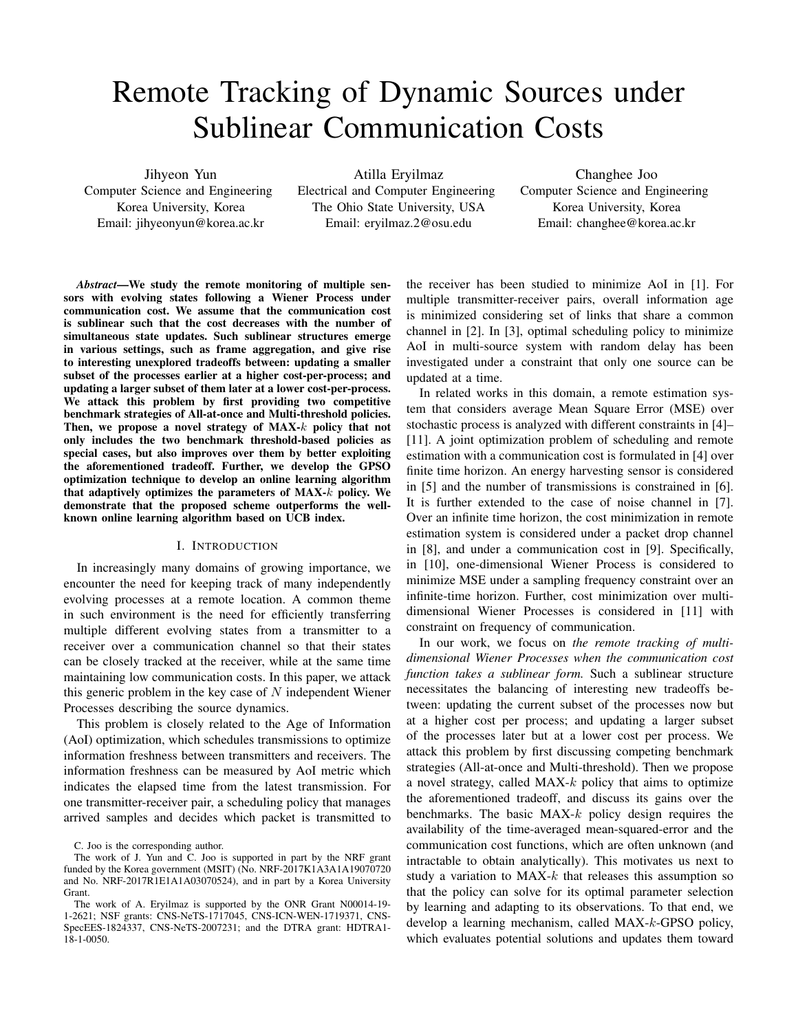# Remote Tracking of Dynamic Sources under Sublinear Communication Costs

Jihyeon Yun

Computer Science and Engineering Korea University, Korea Email: jihyeonyun@korea.ac.kr

Atilla Eryilmaz Electrical and Computer Engineering The Ohio State University, USA Email: eryilmaz.2@osu.edu

Changhee Joo Computer Science and Engineering Korea University, Korea Email: changhee@korea.ac.kr

*Abstract*—We study the remote monitoring of multiple sensors with evolving states following a Wiener Process under communication cost. We assume that the communication cost is sublinear such that the cost decreases with the number of simultaneous state updates. Such sublinear structures emerge in various settings, such as frame aggregation, and give rise to interesting unexplored tradeoffs between: updating a smaller subset of the processes earlier at a higher cost-per-process; and updating a larger subset of them later at a lower cost-per-process. We attack this problem by first providing two competitive benchmark strategies of All-at-once and Multi-threshold policies. Then, we propose a novel strategy of MAX-k policy that not only includes the two benchmark threshold-based policies as special cases, but also improves over them by better exploiting the aforementioned tradeoff. Further, we develop the GPSO optimization technique to develop an online learning algorithm that adaptively optimizes the parameters of MAX-k policy. We demonstrate that the proposed scheme outperforms the wellknown online learning algorithm based on UCB index.

# I. INTRODUCTION

In increasingly many domains of growing importance, we encounter the need for keeping track of many independently evolving processes at a remote location. A common theme in such environment is the need for efficiently transferring multiple different evolving states from a transmitter to a receiver over a communication channel so that their states can be closely tracked at the receiver, while at the same time maintaining low communication costs. In this paper, we attack this generic problem in the key case of  $N$  independent Wiener Processes describing the source dynamics.

This problem is closely related to the Age of Information (AoI) optimization, which schedules transmissions to optimize information freshness between transmitters and receivers. The information freshness can be measured by AoI metric which indicates the elapsed time from the latest transmission. For one transmitter-receiver pair, a scheduling policy that manages arrived samples and decides which packet is transmitted to the receiver has been studied to minimize AoI in [1]. For multiple transmitter-receiver pairs, overall information age is minimized considering set of links that share a common channel in [2]. In [3], optimal scheduling policy to minimize AoI in multi-source system with random delay has been investigated under a constraint that only one source can be updated at a time.

In related works in this domain, a remote estimation system that considers average Mean Square Error (MSE) over stochastic process is analyzed with different constraints in [4]– [11]. A joint optimization problem of scheduling and remote estimation with a communication cost is formulated in [4] over finite time horizon. An energy harvesting sensor is considered in [5] and the number of transmissions is constrained in [6]. It is further extended to the case of noise channel in [7]. Over an infinite time horizon, the cost minimization in remote estimation system is considered under a packet drop channel in [8], and under a communication cost in [9]. Specifically, in [10], one-dimensional Wiener Process is considered to minimize MSE under a sampling frequency constraint over an infinite-time horizon. Further, cost minimization over multidimensional Wiener Processes is considered in [11] with constraint on frequency of communication.

In our work, we focus on *the remote tracking of multidimensional Wiener Processes when the communication cost function takes a sublinear form.* Such a sublinear structure necessitates the balancing of interesting new tradeoffs between: updating the current subset of the processes now but at a higher cost per process; and updating a larger subset of the processes later but at a lower cost per process. We attack this problem by first discussing competing benchmark strategies (All-at-once and Multi-threshold). Then we propose a novel strategy, called  $MAX-k$  policy that aims to optimize the aforementioned tradeoff, and discuss its gains over the benchmarks. The basic  $MAX-k$  policy design requires the availability of the time-averaged mean-squared-error and the communication cost functions, which are often unknown (and intractable to obtain analytically). This motivates us next to study a variation to  $MAX-k$  that releases this assumption so that the policy can solve for its optimal parameter selection by learning and adapting to its observations. To that end, we develop a learning mechanism, called MAX-k-GPSO policy, which evaluates potential solutions and updates them toward

C. Joo is the corresponding author.

The work of J. Yun and C. Joo is supported in part by the NRF grant funded by the Korea government (MSIT) (No. NRF-2017K1A3A1A19070720 and No. NRF-2017R1E1A1A03070524), and in part by a Korea University Grant.

The work of A. Eryilmaz is supported by the ONR Grant N00014-19- 1-2621; NSF grants: CNS-NeTS-1717045, CNS-ICN-WEN-1719371, CNS-SpecEES-1824337, CNS-NeTS-2007231; and the DTRA grant: HDTRA1- 18-1-0050.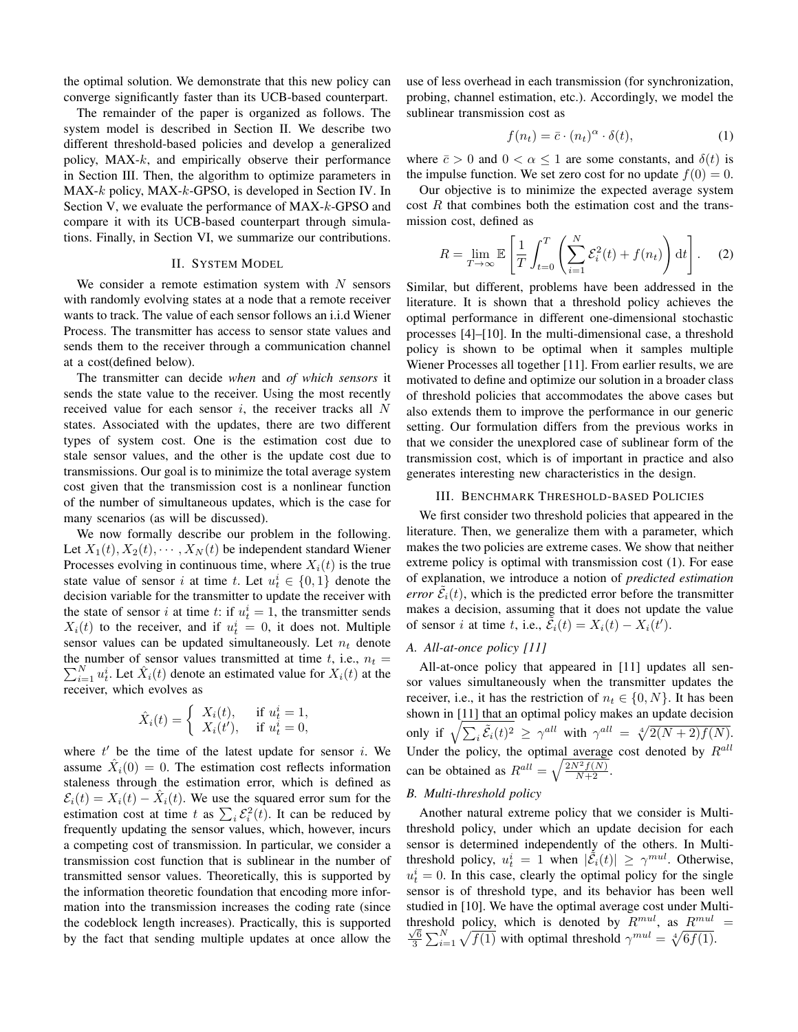the optimal solution. We demonstrate that this new policy can converge significantly faster than its UCB-based counterpart.

The remainder of the paper is organized as follows. The system model is described in Section II. We describe two different threshold-based policies and develop a generalized policy,  $MAX-k$ , and empirically observe their performance in Section III. Then, the algorithm to optimize parameters in MAX-k policy, MAX-k-GPSO, is developed in Section IV. In Section V, we evaluate the performance of MAX-k-GPSO and compare it with its UCB-based counterpart through simulations. Finally, in Section VI, we summarize our contributions.

#### II. SYSTEM MODEL

We consider a remote estimation system with  $N$  sensors with randomly evolving states at a node that a remote receiver wants to track. The value of each sensor follows an i.i.d Wiener Process. The transmitter has access to sensor state values and sends them to the receiver through a communication channel at a cost(defined below).

The transmitter can decide *when* and *of which sensors* it sends the state value to the receiver. Using the most recently received value for each sensor  $i$ , the receiver tracks all  $N$ states. Associated with the updates, there are two different types of system cost. One is the estimation cost due to stale sensor values, and the other is the update cost due to transmissions. Our goal is to minimize the total average system cost given that the transmission cost is a nonlinear function of the number of simultaneous updates, which is the case for many scenarios (as will be discussed).

We now formally describe our problem in the following. Let  $X_1(t), X_2(t), \cdots, X_N(t)$  be independent standard Wiener Processes evolving in continuous time, where  $X_i(t)$  is the true state value of sensor i at time t. Let  $u_t^i \in \{0, 1\}$  denote the decision variable for the transmitter to update the receiver with the state of sensor *i* at time *t*: if  $u_t^i = 1$ , the transmitter sends  $X_i(t)$  to the receiver, and if  $u_t^i = 0$ , it does not. Multiple sensor values can be updated simultaneously. Let  $n_t$  denote the number of sensor values transmitted at time t, i.e.,  $n_t =$  $\sum_{i=1}^{N} u_t^i$ . Let  $\hat{X}_i(t)$  denote an estimated value for  $X_i(t)$  at the receiver, which evolves as

$$
\hat{X}_i(t) = \begin{cases} X_i(t), & \text{if } u_t^i = 1, \\ X_i(t'), & \text{if } u_t^i = 0, \end{cases}
$$

where  $t'$  be the time of the latest update for sensor i. We assume  $\hat{X}_i(0) = 0$ . The estimation cost reflects information staleness through the estimation error, which is defined as  $\mathcal{E}_i(t) = X_i(t) - \hat{X}_i(t)$ . We use the squared error sum for the estimation cost at time t as  $\sum_i \mathcal{E}_i^2(t)$ . It can be reduced by frequently updating the sensor values, which, however, incurs a competing cost of transmission. In particular, we consider a transmission cost function that is sublinear in the number of transmitted sensor values. Theoretically, this is supported by the information theoretic foundation that encoding more information into the transmission increases the coding rate (since the codeblock length increases). Practically, this is supported by the fact that sending multiple updates at once allow the use of less overhead in each transmission (for synchronization, probing, channel estimation, etc.). Accordingly, we model the sublinear transmission cost as

$$
f(n_t) = \bar{c} \cdot (n_t)^{\alpha} \cdot \delta(t), \qquad (1)
$$

where  $\bar{c} > 0$  and  $0 < \alpha \le 1$  are some constants, and  $\delta(t)$  is the impulse function. We set zero cost for no update  $f(0) = 0$ .

Our objective is to minimize the expected average system  $\cos t \, R$  that combines both the estimation cost and the transmission cost, defined as

$$
R = \lim_{T \to \infty} \mathbb{E}\left[\frac{1}{T} \int_{t=0}^{T} \left(\sum_{i=1}^{N} \mathcal{E}_i^2(t) + f(n_t)\right) dt\right].
$$
 (2)

Similar, but different, problems have been addressed in the literature. It is shown that a threshold policy achieves the optimal performance in different one-dimensional stochastic processes [4]–[10]. In the multi-dimensional case, a threshold policy is shown to be optimal when it samples multiple Wiener Processes all together [11]. From earlier results, we are motivated to define and optimize our solution in a broader class of threshold policies that accommodates the above cases but also extends them to improve the performance in our generic setting. Our formulation differs from the previous works in that we consider the unexplored case of sublinear form of the transmission cost, which is of important in practice and also generates interesting new characteristics in the design.

#### III. BENCHMARK THRESHOLD-BASED POLICIES

We first consider two threshold policies that appeared in the literature. Then, we generalize them with a parameter, which makes the two policies are extreme cases. We show that neither extreme policy is optimal with transmission cost (1). For ease of explanation, we introduce a notion of *predicted estimation error*  $\tilde{\mathcal{E}}_i(t)$ , which is the predicted error before the transmitter makes a decision, assuming that it does not update the value of sensor *i* at time *t*, i.e.,  $\tilde{\bar{\mathcal{E}}}_i(t) = X_i(t) - X_i(t')$ .

#### *A. All-at-once policy [11]*

All-at-once policy that appeared in [11] updates all sensor values simultaneously when the transmitter updates the receiver, i.e., it has the restriction of  $n_t \in \{0, N\}$ . It has been shown in [11] that an optimal policy makes an update decision only if  $\sqrt{\sum_i \tilde{\mathcal{E}}_i(t)^2} \ge \gamma^{all}$  with  $\gamma^{all} = \sqrt[4]{2(N+2)f(N)}$ . Under the policy, the optimal average cost denoted by  $R^{all}$ can be obtained as  $R^{all} = \sqrt{\frac{2N^2 f(N)}{N+2}}$ .

# *B. Multi-threshold policy*

Another natural extreme policy that we consider is Multithreshold policy, under which an update decision for each sensor is determined independently of the others. In Multithreshold policy,  $u_t^i = 1$  when  $|\dot{\tilde{\mathcal{E}}}_i(t)| \geq \gamma^{mul}$ . Otherwise,  $u_t^i = 0$ . In this case, clearly the optimal policy for the single sensor is of threshold type, and its behavior has been well studied in [10]. We have the optimal average cost under Multithreshold policy, which is denoted by  $R^{mul}$ , as  $R^{mul}$  =  $\frac{\sqrt{6}}{3} \sum_{i=1}^{N} \sqrt{f(1)}$  with optimal threshold  $\gamma^{mul} = \sqrt[4]{6f(1)}$ .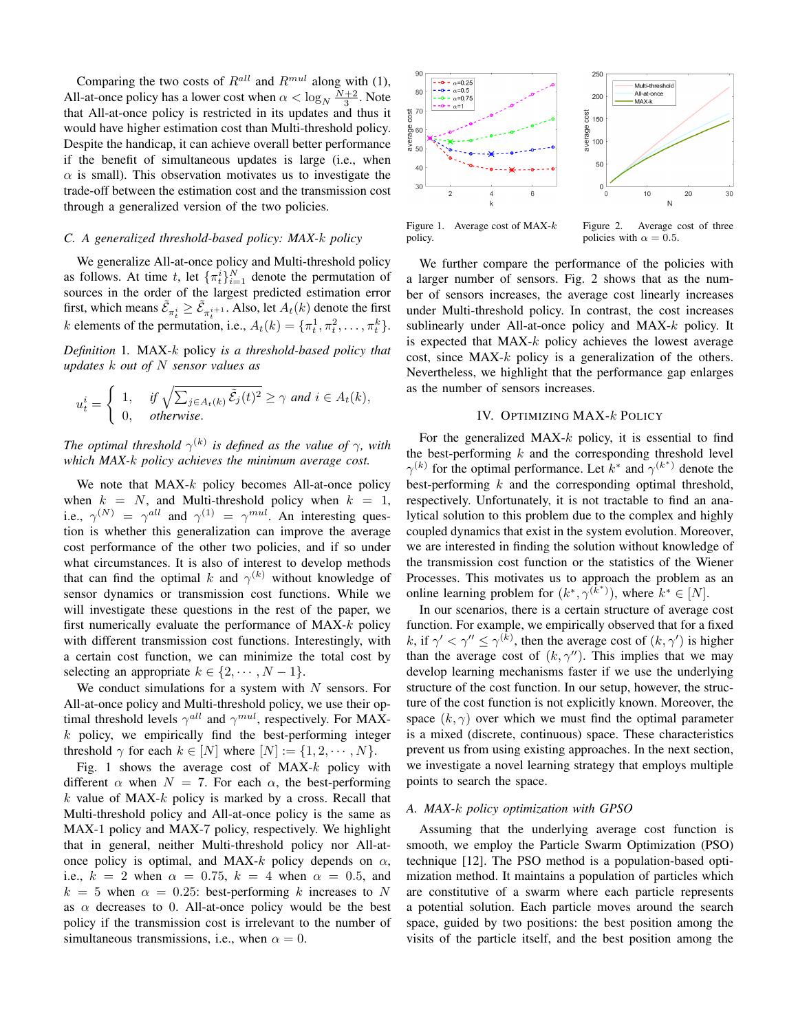Comparing the two costs of  $R^{all}$  and  $R^{mul}$  along with (1), All-at-once policy has a lower cost when  $\alpha < \log_N \frac{N+2}{3}$ . Note that All-at-once policy is restricted in its updates and thus it would have higher estimation cost than Multi-threshold policy. Despite the handicap, it can achieve overall better performance if the benefit of simultaneous updates is large (i.e., when  $\alpha$  is small). This observation motivates us to investigate the trade-off between the estimation cost and the transmission cost through a generalized version of the two policies.

#### *C. A generalized threshold-based policy: MAX-*k *policy*

We generalize All-at-once policy and Multi-threshold policy as follows. At time t, let  ${\lbrace \pi_t^i \rbrace}_{i=1}^N$  denote the permutation of sources in the order of the largest predicted estimation error first, which means  $\tilde{\mathcal{E}}_{\pi_t^i} \ge \tilde{\mathcal{E}}_{\pi_t^{i+1}}$ . Also, let  $A_t(k)$  denote the first k elements of the permutation, i.e.,  $A_t(k) = \{\pi_t^1, \pi_t^2, \dots, \pi_t^k\}.$ 

*Definition* 1*.* MAX-k policy *is a threshold-based policy that updates* k *out of* N *sensor values as*

$$
u_t^i = \begin{cases} 1, & \text{if } \sqrt{\sum_{j \in A_t(k)} \tilde{\mathcal{E}}_j(t)^2} \ge \gamma \text{ and } i \in A_t(k), \\ 0, & \text{otherwise.} \end{cases}
$$

*The optimal threshold*  $\gamma^{(k)}$  *is defined as the value of*  $\gamma$ *, with which MAX-*k *policy achieves the minimum average cost.*

We note that  $MAX-k$  policy becomes All-at-once policy when  $k = N$ , and Multi-threshold policy when  $k = 1$ , i.e.,  $\gamma^{(N)} = \gamma^{all}$  and  $\gamma^{(1)} = \gamma^{mul}$ . An interesting question is whether this generalization can improve the average cost performance of the other two policies, and if so under what circumstances. It is also of interest to develop methods that can find the optimal k and  $\gamma^{(k)}$  without knowledge of sensor dynamics or transmission cost functions. While we will investigate these questions in the rest of the paper, we first numerically evaluate the performance of MAX-k policy with different transmission cost functions. Interestingly, with a certain cost function, we can minimize the total cost by selecting an appropriate  $k \in \{2, \dots, N-1\}.$ 

We conduct simulations for a system with  $N$  sensors. For All-at-once policy and Multi-threshold policy, we use their optimal threshold levels  $\gamma^{all}$  and  $\gamma^{mul}$ , respectively. For MAX $k$  policy, we empirically find the best-performing integer threshold  $\gamma$  for each  $k \in [N]$  where  $[N] := \{1, 2, \cdots, N\}.$ 

Fig. 1 shows the average cost of  $MAX-k$  policy with different  $\alpha$  when  $N = 7$ . For each  $\alpha$ , the best-performing  $k$  value of MAX- $k$  policy is marked by a cross. Recall that Multi-threshold policy and All-at-once policy is the same as MAX-1 policy and MAX-7 policy, respectively. We highlight that in general, neither Multi-threshold policy nor All-atonce policy is optimal, and MAX- $k$  policy depends on  $\alpha$ , i.e.,  $k = 2$  when  $\alpha = 0.75$ ,  $k = 4$  when  $\alpha = 0.5$ , and  $k = 5$  when  $\alpha = 0.25$ : best-performing k increases to N as  $\alpha$  decreases to 0. All-at-once policy would be the best policy if the transmission cost is irrelevant to the number of simultaneous transmissions, i.e., when  $\alpha = 0$ .



Figure 1. Average cost of  $MAX-k$ policy.

Figure 2. Average cost of three policies with  $\alpha = 0.5$ .

We further compare the performance of the policies with a larger number of sensors. Fig. 2 shows that as the number of sensors increases, the average cost linearly increases under Multi-threshold policy. In contrast, the cost increases sublinearly under All-at-once policy and MAX-k policy. It is expected that  $MAX-k$  policy achieves the lowest average cost, since  $MAX-k$  policy is a generalization of the others. Nevertheless, we highlight that the performance gap enlarges as the number of sensors increases.

## IV. OPTIMIZING MAX-k POLICY

For the generalized  $MAX-k$  policy, it is essential to find the best-performing  $k$  and the corresponding threshold level  $\gamma^{(k)}$  for the optimal performance. Let  $k^*$  and  $\gamma^{(k^*)}$  denote the best-performing  $k$  and the corresponding optimal threshold, respectively. Unfortunately, it is not tractable to find an analytical solution to this problem due to the complex and highly coupled dynamics that exist in the system evolution. Moreover, we are interested in finding the solution without knowledge of the transmission cost function or the statistics of the Wiener Processes. This motivates us to approach the problem as an online learning problem for  $(k^*, \gamma^{(k^*)})$ , where  $k^* \in [N]$ .

In our scenarios, there is a certain structure of average cost function. For example, we empirically observed that for a fixed k, if  $\gamma' < \gamma'' \leq \gamma^{(k)}$ , then the average cost of  $(k, \gamma')$  is higher than the average cost of  $(k, \gamma'')$ . This implies that we may develop learning mechanisms faster if we use the underlying structure of the cost function. In our setup, however, the structure of the cost function is not explicitly known. Moreover, the space  $(k, \gamma)$  over which we must find the optimal parameter is a mixed (discrete, continuous) space. These characteristics prevent us from using existing approaches. In the next section, we investigate a novel learning strategy that employs multiple points to search the space.

#### *A. MAX-*k *policy optimization with GPSO*

Assuming that the underlying average cost function is smooth, we employ the Particle Swarm Optimization (PSO) technique [12]. The PSO method is a population-based optimization method. It maintains a population of particles which are constitutive of a swarm where each particle represents a potential solution. Each particle moves around the search space, guided by two positions: the best position among the visits of the particle itself, and the best position among the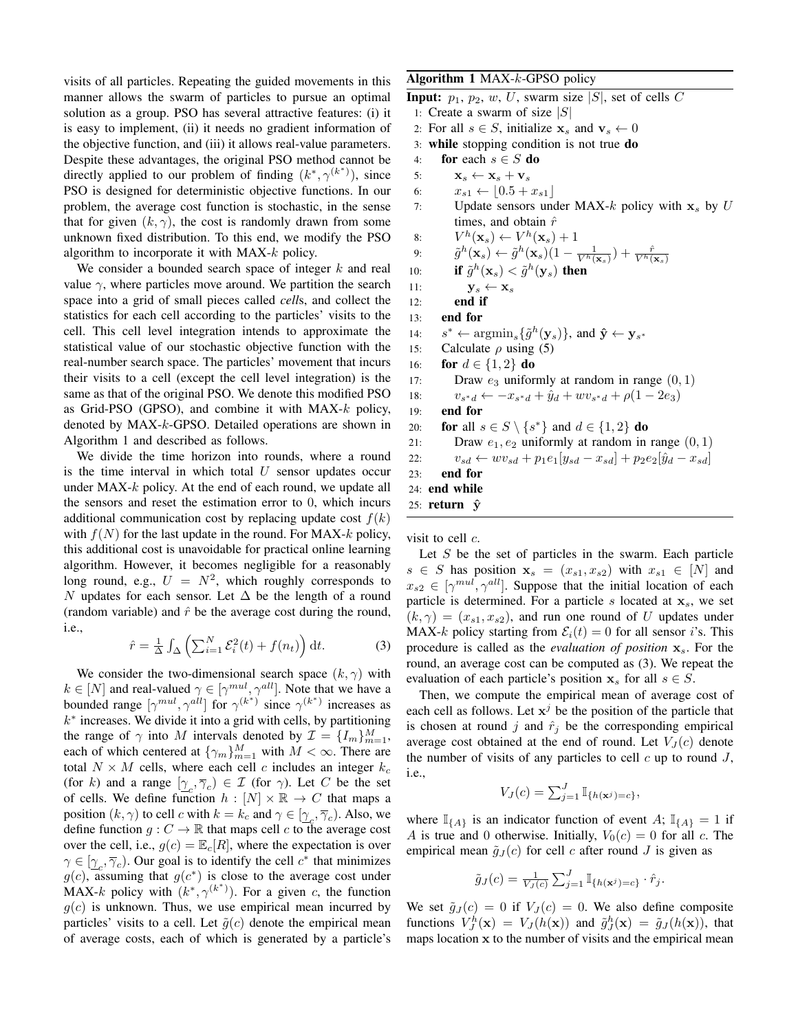visits of all particles. Repeating the guided movements in this manner allows the swarm of particles to pursue an optimal solution as a group. PSO has several attractive features: (i) it is easy to implement, (ii) it needs no gradient information of the objective function, and (iii) it allows real-value parameters. Despite these advantages, the original PSO method cannot be directly applied to our problem of finding  $(k^*, \gamma^{(k^*)})$ , since PSO is designed for deterministic objective functions. In our problem, the average cost function is stochastic, in the sense that for given  $(k, \gamma)$ , the cost is randomly drawn from some unknown fixed distribution. To this end, we modify the PSO algorithm to incorporate it with MAX-k policy.

We consider a bounded search space of integer  $k$  and real value  $\gamma$ , where particles move around. We partition the search space into a grid of small pieces called *cell*s, and collect the statistics for each cell according to the particles' visits to the cell. This cell level integration intends to approximate the statistical value of our stochastic objective function with the real-number search space. The particles' movement that incurs their visits to a cell (except the cell level integration) is the same as that of the original PSO. We denote this modified PSO as Grid-PSO (GPSO), and combine it with  $MAX-k$  policy, denoted by MAX-k-GPSO. Detailed operations are shown in Algorithm 1 and described as follows.

We divide the time horizon into rounds, where a round is the time interval in which total  $U$  sensor updates occur under MAX-k policy. At the end of each round, we update all the sensors and reset the estimation error to 0, which incurs additional communication cost by replacing update cost  $f(k)$ with  $f(N)$  for the last update in the round. For MAX-k policy, this additional cost is unavoidable for practical online learning algorithm. However, it becomes negligible for a reasonably long round, e.g.,  $U = N^2$ , which roughly corresponds to N updates for each sensor. Let  $\Delta$  be the length of a round (random variable) and  $\hat{r}$  be the average cost during the round, i.e.,

$$
\hat{r} = \frac{1}{\Delta} \int_{\Delta} \left( \sum_{i=1}^{N} \mathcal{E}_i^2(t) + f(n_t) \right) dt.
$$
 (3)

We consider the two-dimensional search space  $(k, \gamma)$  with  $k \in [N]$  and real-valued  $\gamma \in [\gamma^{mul}, \gamma^{all}]$ . Note that we have a bounded range  $[\gamma^{mul}, \gamma^{all}]$  for  $\gamma^{(k^*)}$  since  $\gamma^{(k^*)}$  increases as  $k^*$  increases. We divide it into a grid with cells, by partitioning the range of  $\gamma$  into M intervals denoted by  $\mathcal{I} = \{I_m\}_{m=1}^M$ , each of which centered at  $\{\gamma_m\}_{m=1}^M$  with  $M < \infty$ . There are total  $N \times M$  cells, where each cell c includes an integer  $k_c$ (for k) and a range  $[\gamma_c, \overline{\gamma}_c) \in \mathcal{I}$  (for  $\gamma$ ). Let C be the set of cells. We define function  $h : [N] \times \mathbb{R} \rightarrow C$  that maps a position  $(k, \gamma)$  to cell c with  $k = k_c$  and  $\gamma \in [\gamma_c, \overline{\gamma}_c)$ . Also, we define function  $g: C \to \mathbb{R}$  that maps cell c to the average cost over the cell, i.e.,  $g(c) = \mathbb{E}_c[R]$ , where the expectation is over  $\gamma \in [\gamma_c, \overline{\gamma}_c)$ . Our goal is to identify the cell  $c^*$  that minimizes  $g(c)$ , assuming that  $g(c^*)$  is close to the average cost under MAX-k policy with  $(k^*, \gamma^{(k^*)})$ . For a given c, the function  $q(c)$  is unknown. Thus, we use empirical mean incurred by particles' visits to a cell. Let  $\tilde{g}(c)$  denote the empirical mean of average costs, each of which is generated by a particle's

# Algorithm 1 MAX-k-GPSO policy

**Input:**  $p_1$ ,  $p_2$ ,  $w$ ,  $U$ , swarm size  $|S|$ , set of cells C

- 1: Create a swarm of size  $|S|$
- 2: For all  $s \in S$ , initialize  $x_s$  and  $v_s \leftarrow 0$
- 3: while stopping condition is not true do
- 4: for each  $s \in S$  do
- 5:  $\mathbf{x}_s \leftarrow \mathbf{x}_s + \mathbf{v}_s$
- 6:  $x_{s1} \leftarrow |0.5 + x_{s1}|$
- 7: Update sensors under MAX- $k$  policy with  $x_s$  by U times, and obtain  $\hat{r}$

8: 
$$
V^h(\mathbf{x}_s) \leftarrow V^h(\mathbf{x}_s) + 1
$$
  
0:  $\tilde{\sigma}^h(\mathbf{x}) \leftarrow \tilde{\sigma}^h(\mathbf{x}) (1 - 1) + \tilde{r}$ 

9: 
$$
\tilde{g}^h(\mathbf{x}_s) \leftarrow \tilde{g}^h(\mathbf{x}_s)(1 - \frac{1}{V^h(\mathbf{x}_s)}) + \frac{\hat{r}}{V^h(\mathbf{x}_s)}
$$

10: if 
$$
\tilde{g}^h(\mathbf{x}_s) < \tilde{g}^h(\mathbf{y}_s)
$$
 then

11:  $\mathbf{y}_s \leftarrow \mathbf{x}_s$ 

```
12: end if
```
13: end for

 $14:$ \* ←  $\argmin_s \{ \tilde{g}^h(\mathbf{y}_s) \}$ , and  $\hat{\mathbf{y}} \leftarrow \mathbf{y}_{s^*}$ 

- 15: Calculate  $\rho$  using (5)
- 16: **for**  $d \in \{1, 2\}$  **do**
- 17: Draw  $e_3$  uniformly at random in range  $(0, 1)$

$$
v_{s*d} \leftarrow -x_{s*d} + \hat{y}_d + w v_{s*d} + \rho(1 - 2e_3)
$$

19: end for

 $18:$ 

- 20: **for** all  $s \in S \setminus \{s^*\}$  and  $d \in \{1,2\}$  **do**
- 21: Draw  $e_1, e_2$  uniformly at random in range  $(0, 1)$

```
22: v_{sd} \leftarrow w v_{sd} + p_1 e_1 [y_{sd} - x_{sd}] + p_2 e_2 [\hat{y}_d - x_{sd}]
```
23: end for

- 24: end while 25: return  $\hat{y}$
- 

visit to cell  $c$ .

Let  $S$  be the set of particles in the swarm. Each particle  $s \in S$  has position  $x_s = (x_{s1}, x_{s2})$  with  $x_{s1} \in [N]$  and  $x_{s2} \in [\gamma^{mul}, \gamma^{all}]$ . Suppose that the initial location of each particle is determined. For a particle s located at  $x_s$ , we set  $(k, \gamma) = (x_{s1}, x_{s2})$ , and run one round of U updates under MAX-k policy starting from  $\mathcal{E}_i(t) = 0$  for all sensor i's. This procedure is called as the *evaluation of position*  $x_s$ . For the round, an average cost can be computed as (3). We repeat the evaluation of each particle's position  $x_s$  for all  $s \in S$ .

Then, we compute the empirical mean of average cost of each cell as follows. Let  $x^j$  be the position of the particle that is chosen at round j and  $\hat{r}_j$  be the corresponding empirical average cost obtained at the end of round. Let  $V_J(c)$  denote the number of visits of any particles to cell  $c$  up to round  $J$ , i.e.,

$$
V_J(c) = \sum_{j=1}^J \mathbb{I}_{\{h(\mathbf{x}^j) = c\}},
$$

where  $\mathbb{I}_{\{A\}}$  is an indicator function of event A;  $\mathbb{I}_{\{A\}} = 1$  if A is true and 0 otherwise. Initially,  $V_0(c) = 0$  for all c. The empirical mean  $\tilde{g}_J(c)$  for cell c after round J is given as

$$
\tilde{g}_J(c) = \frac{1}{V_J(c)} \sum_{j=1}^J \mathbb{I}_{\{h(\mathbf{x}^j) = c\}} \cdot \hat{r}_j.
$$

We set  $\tilde{g}_J(c) = 0$  if  $V_J(c) = 0$ . We also define composite functions  $V_j^h(\mathbf{x}) = V_j(h(\mathbf{x}))$  and  $\tilde{g}_j^h(\mathbf{x}) = \tilde{g}_j(h(\mathbf{x}))$ , that maps location  $x$  to the number of visits and the empirical mean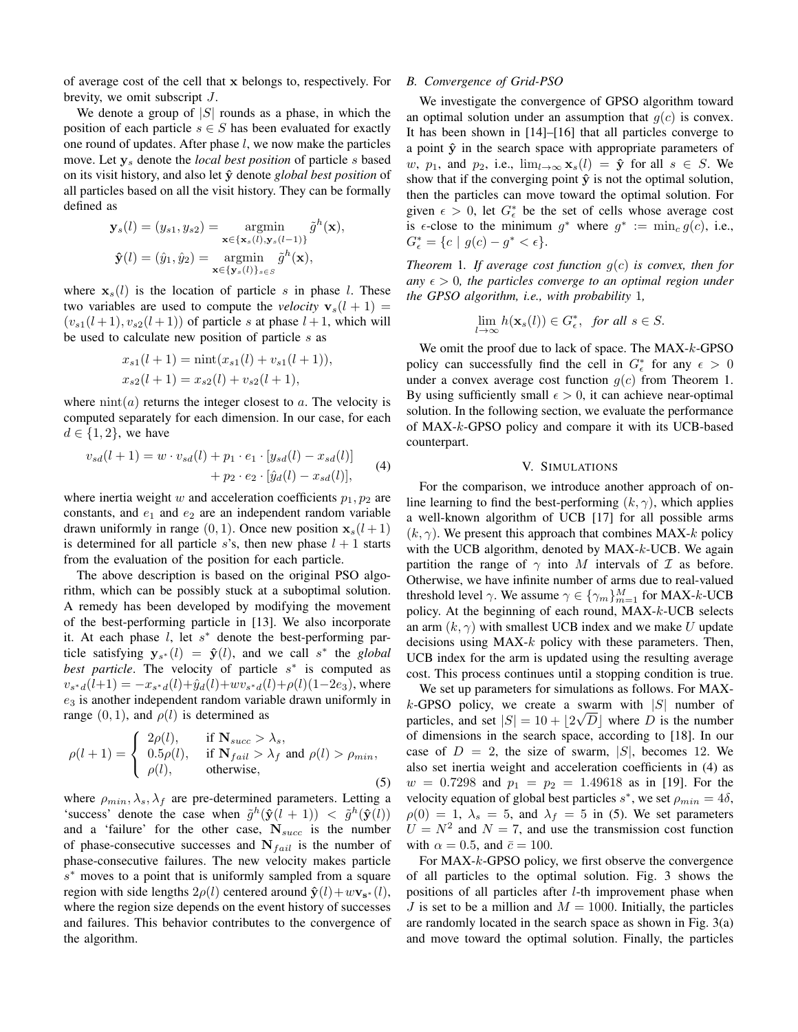of average cost of the cell that x belongs to, respectively. For brevity, we omit subscript J.

We denote a group of  $|S|$  rounds as a phase, in which the position of each particle  $s \in S$  has been evaluated for exactly one round of updates. After phase l, we now make the particles move. Let y<sup>s</sup> denote the *local best position* of particle s based on its visit history, and also let ˆy denote *global best position* of all particles based on all the visit history. They can be formally defined as

$$
\mathbf{y}_s(l) = (y_{s1}, y_{s2}) = \operatorname*{argmin}_{\mathbf{x} \in \{\mathbf{x}_s(l), \mathbf{y}_s(l-1)\}} \tilde{g}^h(\mathbf{x}),
$$

$$
\hat{\mathbf{y}}(l) = (\hat{y}_1, \hat{y}_2) = \operatorname*{argmin}_{\mathbf{x} \in \{\mathbf{y}_s(l)\}_{s \in S}} \tilde{g}^h(\mathbf{x}),
$$

where  $x_s(l)$  is the location of particle s in phase l. These two variables are used to compute the *velocity*  $v_s(l + 1) =$  $(v_{s1}(l+1), v_{s2}(l+1))$  of particle s at phase  $l+1$ , which will be used to calculate new position of particle s as

$$
x_{s1}(l + 1) = \min(x_{s1}(l) + v_{s1}(l + 1)),
$$
  
\n
$$
x_{s2}(l + 1) = x_{s2}(l) + v_{s2}(l + 1),
$$

where  $\text{nint}(a)$  returns the integer closest to a. The velocity is computed separately for each dimension. In our case, for each  $d \in \{1,2\}$ , we have

$$
v_{sd}(l+1) = w \cdot v_{sd}(l) + p_1 \cdot e_1 \cdot [y_{sd}(l) - x_{sd}(l)] + p_2 \cdot e_2 \cdot [\hat{y}_d(l) - x_{sd}(l)], \tag{4}
$$

where inertia weight w and acceleration coefficients  $p_1, p_2$  are constants, and  $e_1$  and  $e_2$  are an independent random variable drawn uniformly in range  $(0, 1)$ . Once new position  $\mathbf{x}_s(l+1)$ is determined for all particle s's, then new phase  $l + 1$  starts from the evaluation of the position for each particle.

The above description is based on the original PSO algorithm, which can be possibly stuck at a suboptimal solution. A remedy has been developed by modifying the movement of the best-performing particle in [13]. We also incorporate it. At each phase  $l$ , let  $s^*$  denote the best-performing particle satisfying  $y_{s*}(l) = \hat{y}(l)$ , and we call s<sup>\*</sup> the *global best particle*. The velocity of particle s<sup>\*</sup> is computed as  $v_{s*d}(l+1) = -x_{s*d}(l) + \hat{y}_d(l) + wv_{s*d}(l) + \rho(l)(1-2e_3)$ , where  $e_3$  is another independent random variable drawn uniformly in range  $(0, 1)$ , and  $\rho(l)$  is determined as

$$
\rho(l+1) = \begin{cases}\n2\rho(l), & \text{if } \mathbf{N}_{succ} > \lambda_s, \\
0.5\rho(l), & \text{if } \mathbf{N}_{fail} > \lambda_f \text{ and } \rho(l) > \rho_{min}, \\
\rho(l), & \text{otherwise,} \n\end{cases}
$$
\n(5)

where  $\rho_{min}, \lambda_s, \lambda_f$  are pre-determined parameters. Letting a 'success' denote the case when  $\tilde{g}^h(\hat{\mathbf{y}}(l + 1)) < \tilde{g}^h(\hat{\mathbf{y}}(l))$ and a 'failure' for the other case,  $N_{succ}$  is the number of phase-consecutive successes and  $N_{fail}$  is the number of phase-consecutive failures. The new velocity makes particle s <sup>∗</sup> moves to a point that is uniformly sampled from a square region with side lengths  $2\rho(l)$  centered around  $\mathbf{\hat{y}}(l) + w\mathbf{v}_{s^*}(l)$ , where the region size depends on the event history of successes and failures. This behavior contributes to the convergence of the algorithm.

#### *B. Convergence of Grid-PSO*

We investigate the convergence of GPSO algorithm toward an optimal solution under an assumption that  $q(c)$  is convex. It has been shown in [14]–[16] that all particles converge to a point  $\hat{y}$  in the search space with appropriate parameters of w,  $p_1$ , and  $p_2$ , i.e.,  $\lim_{l\to\infty} \mathbf{x}_s(l) = \hat{\mathbf{y}}$  for all  $s \in S$ . We show that if the converging point  $\hat{y}$  is not the optimal solution, then the particles can move toward the optimal solution. For given  $\epsilon > 0$ , let  $G_{\epsilon}^*$  be the set of cells whose average cost is  $\epsilon$ -close to the minimum  $g^*$  where  $g^* := \min_c g(c)$ , i.e.,  $G_{\epsilon}^* = \{c \mid g(c) - g^* < \epsilon\}.$ 

*Theorem* 1*. If average cost function* g(c) *is convex, then for any*  $\epsilon > 0$ , the particles converge to an optimal region under *the GPSO algorithm, i.e., with probability* 1*,*

$$
\lim_{l \to \infty} h(\mathbf{x}_s(l)) \in G_{\epsilon}^*, \text{ for all } s \in S.
$$

We omit the proof due to lack of space. The MAX-k-GPSO policy can successfully find the cell in  $G_{\epsilon}^*$  for any  $\epsilon > 0$ under a convex average cost function  $g(c)$  from Theorem 1. By using sufficiently small  $\epsilon > 0$ , it can achieve near-optimal solution. In the following section, we evaluate the performance of MAX-k-GPSO policy and compare it with its UCB-based counterpart.

## V. SIMULATIONS

For the comparison, we introduce another approach of online learning to find the best-performing  $(k, \gamma)$ , which applies a well-known algorithm of UCB [17] for all possible arms  $(k, \gamma)$ . We present this approach that combines MAX-k policy with the UCB algorithm, denoted by MAX-k-UCB. We again partition the range of  $\gamma$  into M intervals of  $\mathcal I$  as before. Otherwise, we have infinite number of arms due to real-valued threshold level  $\gamma$ . We assume  $\gamma \in \{\gamma_m\}_{m=1}^M$  for MAX-k-UCB policy. At the beginning of each round, MAX-k-UCB selects an arm  $(k, \gamma)$  with smallest UCB index and we make U update decisions using  $MAX-k$  policy with these parameters. Then, UCB index for the arm is updated using the resulting average cost. This process continues until a stopping condition is true.

We set up parameters for simulations as follows. For MAXk-GPSO policy, we create a swarm with  $|S|$  number of particles, and set  $|S| = 10 + \lfloor 2\sqrt{D} \rfloor$  where D is the number of dimensions in the search space, according to [18]. In our case of  $D = 2$ , the size of swarm, |S|, becomes 12. We also set inertia weight and acceleration coefficients in (4) as  $w = 0.7298$  and  $p_1 = p_2 = 1.49618$  as in [19]. For the velocity equation of global best particles  $s^*$ , we set  $\rho_{min} = 4\delta$ ,  $\rho(0) = 1, \lambda_s = 5$ , and  $\lambda_f = 5$  in (5). We set parameters  $U = N^2$  and  $N = 7$ , and use the transmission cost function with  $\alpha = 0.5$ , and  $\bar{c} = 100$ .

For MAX-k-GPSO policy, we first observe the convergence of all particles to the optimal solution. Fig. 3 shows the positions of all particles after l-th improvement phase when J is set to be a million and  $M = 1000$ . Initially, the particles are randomly located in the search space as shown in Fig. 3(a) and move toward the optimal solution. Finally, the particles